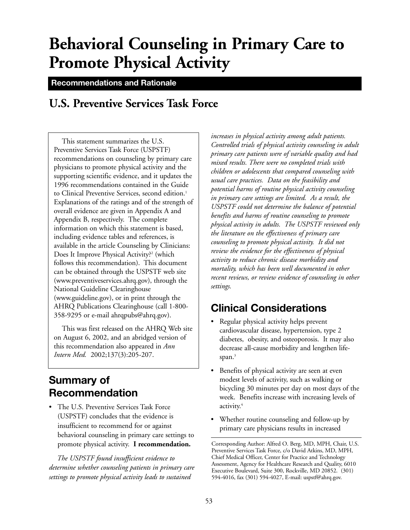# **Behavioral Counseling in Primary Care to Promote Physical Activity**

**Recommendations and Rationale**

# **U.S. Preventive Services Task Force**

This statement summarizes the U.S. Preventive Services Task Force (USPSTF) recommendations on counseling by primary care physicians to promote physical activity and the supporting scientific evidence, and it updates the 1996 recommendations contained in the Guide to Clinical Preventive Services, second edition.<sup>1</sup> Explanations of the ratings and of the strength of overall evidence are given in Appendix A and Appendix B, respectively. The complete information on which this statement is based, including evidence tables and references, is available in the article Counseling by Clinicians: Does It Improve Physical Activity?<sup>2</sup> (which follows this recommendation). This document can be obtained through the USPSTF web site (www.preventiveservices.ahrq.gov), through the National Guideline Clearinghouse (www.guideline.gov), or in print through the AHRQ Publications Clearinghouse (call 1-800- 358-9295 or e-mail ahrqpubs@ahrq.gov).

This was first released on the AHRQ Web site on August 6, 2002, and an abridged version of this recommendation also appeared in *Ann Intern Med.* 2002;137(3):205-207.

# **Summary of Recommendation**

• The U.S. Preventive Services Task Force (USPSTF) concludes that the evidence is insufficient to recommend for or against behavioral counseling in primary care settings to promote physical activity. **I recommendation.**

*The USPSTF found insufficient evidence to determine whether counseling patients in primary care settings to promote physical activity leads to sustained*

*increases in physical activity among adult patients. Controlled trials of physical activity counseling in adult primary care patients were of variable quality and had mixed results. There were no completed trials with children or adolescents that compared counseling with usual care practices. Data on the feasibility and potential harms of routine physical activity counseling in primary care settings are limited. As a result, the USPSTF could not determine the balance of potential benefits and harms of routine counseling to promote physical activity in adults. The USPSTF reviewed only the literature on the effectiveness of primary care counseling to promote physical activity. It did not review the evidence for the effectiveness of physical activity to reduce chronic disease morbidity and mortality, which has been well documented in other recent reviews, or review evidence of counseling in other settings.* 

# **Clinical Considerations**

- Regular physical activity helps prevent cardiovascular disease, hypertension, type 2 diabetes, obesity, and osteoporosis. It may also decrease all-cause morbidity and lengthen lifespan.<sup>3</sup>
- Benefits of physical activity are seen at even modest levels of activity, such as walking or bicycling 30 minutes per day on most days of the week. Benefits increase with increasing levels of activity.4
- Whether routine counseling and follow-up by primary care physicians results in increased

Corresponding Author: Alfred O. Berg, MD, MPH, Chair, U.S. Preventive Services Task Force, c/o David Atkins, MD, MPH, Chief Medical Officer, Center for Practice and Technology Assessment, Agency for Healthcare Research and Quality, 6010 Executive Boulevard, Suite 300, Rockville, MD 20852. (301) 594-4016, fax (301) 594-4027, E-mail: uspstf@ahrq.gov.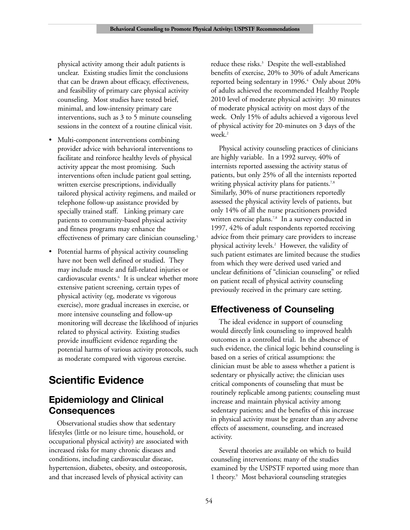physical activity among their adult patients is unclear. Existing studies limit the conclusions that can be drawn about efficacy, effectiveness, and feasibility of primary care physical activity counseling. Most studies have tested brief, minimal, and low-intensity primary care interventions, such as 3 to 5 minute counseling sessions in the context of a routine clinical visit.

- Multi-component interventions combining provider advice with behavioral interventions to facilitate and reinforce healthy levels of physical activity appear the most promising. Such interventions often include patient goal setting, written exercise prescriptions, individually tailored physical activity regimens, and mailed or telephone follow-up assistance provided by specially trained staff. Linking primary care patients to community-based physical activity and fitness programs may enhance the effectiveness of primary care clinician counseling.<sup>5</sup>
- Potential harms of physical activity counseling have not been well defined or studied. They may include muscle and fall-related injuries or cardiovascular events.<sup>6</sup> It is unclear whether more extensive patient screening, certain types of physical activity (eg, moderate vs vigorous exercise), more gradual increases in exercise, or more intensive counseling and follow-up monitoring will decrease the likelihood of injuries related to physical activity. Existing studies provide insufficient evidence regarding the potential harms of various activity protocols, such as moderate compared with vigorous exercise.

# **Scientific Evidence**

## **Epidemiology and Clinical Consequences**

Observational studies show that sedentary lifestyles (little or no leisure time, household, or occupational physical activity) are associated with increased risks for many chronic diseases and conditions, including cardiovascular disease, hypertension, diabetes, obesity, and osteoporosis, and that increased levels of physical activity can

reduce these risks.<sup>3</sup> Despite the well-established benefits of exercise, 20% to 30% of adult Americans reported being sedentary in 1996.<sup>4</sup> Only about 20% of adults achieved the recommended Healthy People 2010 level of moderate physical activity: 30 minutes of moderate physical activity on most days of the week. Only 15% of adults achieved a vigorous level of physical activity for 20-minutes on 3 days of the week.<sup>2</sup>

Physical activity counseling practices of clinicians are highly variable. In a 1992 survey, 40% of internists reported assessing the activity status of patients, but only 25% of all the internists reported writing physical activity plans for patients.<sup>7,8</sup> Similarly, 30% of nurse practitioners reportedly assessed the physical activity levels of patients, but only 14% of all the nurse practitioners provided written exercise plans.<sup>7,8</sup> In a survey conducted in 1997, 42% of adult respondents reported receiving advice from their primary care providers to increase physical activity levels.2 However, the validity of such patient estimates are limited because the studies from which they were derived used varied and unclear definitions of "clinician counseling" or relied on patient recall of physical activity counseling previously received in the primary care setting.

# **Effectiveness of Counseling**

The ideal evidence in support of counseling would directly link counseling to improved health outcomes in a controlled trial. In the absence of such evidence, the clinical logic behind counseling is based on a series of critical assumptions: the clinician must be able to assess whether a patient is sedentary or physically active; the clinician uses critical components of counseling that must be routinely replicable among patients; counseling must increase and maintain physical activity among sedentary patients; and the benefits of this increase in physical activity must be greater than any adverse effects of assessment, counseling, and increased activity.

Several theories are available on which to build counseling interventions; many of the studies examined by the USPSTF reported using more than 1 theory.9 Most behavioral counseling strategies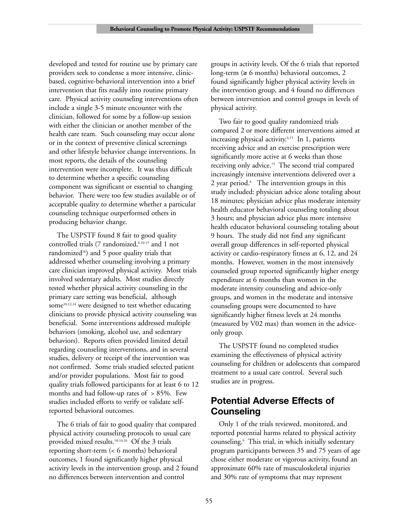developed and tested for routine use by primary care providers seek to condense a more intensive, clinicbased, cognitive-behavioral intervention into a brief intervention that fits readily into routine primary care. Physical activity counseling interventions often include a single 3-5 minute encounter with the clinician, followed for some by a follow-up session with either the clinician or another member of the health care team. Such counseling may occur alone or in the context of preventive clinical screenings and other lifestyle behavior change interventions. In most reports, the details of the counseling intervention were incomplete. It was thus difficult to determine whether a specific counseling component was significant or essential to changing behavior. There were too few studies available or of acceptable quality to determine whether a particular counseling technique outperformed others in producing behavior change.

The USPSTF found 8 fair to good quality controlled trials (7 randomized, 6,10-15 and 1 not randomized<sup>16</sup>) and 5 poor quality trials that addressed whether counseling involving a primary care clinician improved physical activity. Most trials involved sedentary adults. Most studies directly tested whether physical activity counseling in the primary care setting was beneficial, although some<sup>10,12,14</sup> were designed to test whether educating clinicians to provide physical activity counseling was beneficial. Some interventions addressed multiple behaviors (smoking, alcohol use, and sedentary behaviors). Reports often provided limited detail regarding counseling interventions, and in several studies, delivery or receipt of the intervention was not confirmed. Some trials studied selected patient and/or provider populations. Most fair to good quality trials followed participants for at least 6 to 12 months and had follow-up rates of  $> 85\%$ . Few studies included efforts to verify or validate selfreported behavioral outcomes.

The 6 trials of fair to good quality that compared physical activity counseling protocols to usual care provided mixed results.10-14,16 Of the 3 trials reporting short-term (< 6 months) behavioral outcomes, 1 found significantly higher physical activity levels in the intervention group, and 2 found no differences between intervention and control

groups in activity levels. Of the 6 trials that reported long-term ( $\geq 6$  months) behavioral outcomes, 2 found significantly higher physical activity levels in the intervention group, and 4 found no differences between intervention and control groups in levels of physical activity.

Two fair to good quality randomized trials compared 2 or more different interventions aimed at increasing physical activity.<sup>6,15</sup> In 1, patients receiving advice and an exercise prescription were significantly more active at 6 weeks than those receiving only advice.15 The second trial compared increasingly intensive interventions delivered over a 2 year period.<sup>6</sup> The intervention groups in this study included: physician advice alone totaling about 18 minutes; physician advice plus moderate intensity health educator behavioral counseling totaling about 3 hours; and physician advice plus more intensive health educator behavioral counseling totaling about 9 hours. The study did not find any significant overall group differences in self-reported physical activity or cardio-respiratory fitness at 6, 12, and 24 months. However, women in the most intensively counseled group reported significantly higher energy expenditure at 6 months than women in the moderate intensity counseling and advice-only groups, and women in the moderate and intensive counseling groups were documented to have significantly higher fitness levels at 24 months (measured by V02 max) than women in the adviceonly group.

The USPSTF found no completed studies examining the effectiveness of physical activity counseling for children or adolescents that compared treatment to a usual care control. Several such studies are in progress.

### **Potential Adverse Effects of Counseling**

Only 1 of the trials reviewed, monitored, and reported potential harms related to physical activity counseling.6 This trial, in which initially sedentary program participants between 35 and 75 years of age chose either moderate or vigorous activity, found an approximate 60% rate of musculoskeletal injuries and 30% rate of symptoms that may represent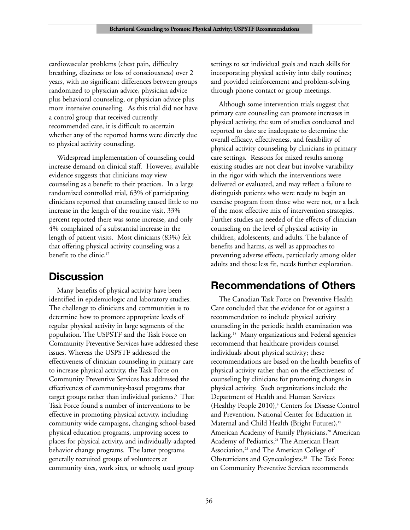cardiovascular problems (chest pain, difficulty breathing, dizziness or loss of consciousness) over 2 years, with no significant differences between groups randomized to physician advice, physician advice plus behavioral counseling, or physician advice plus more intensive counseling. As this trial did not have a control group that received currently recommended care, it is difficult to ascertain whether any of the reported harms were directly due to physical activity counseling.

Widespread implementation of counseling could increase demand on clinical staff. However, available evidence suggests that clinicians may view counseling as a benefit to their practices. In a large randomized controlled trial, 63% of participating clinicians reported that counseling caused little to no increase in the length of the routine visit, 33% percent reported there was some increase, and only 4% complained of a substantial increase in the length of patient visits. Most clinicians (83%) felt that offering physical activity counseling was a benefit to the clinic.<sup>17</sup>

# **Discussion**

Many benefits of physical activity have been identified in epidemiologic and laboratory studies. The challenge to clinicians and communities is to determine how to promote appropriate levels of regular physical activity in large segments of the population. The USPSTF and the Task Force on Community Preventive Services have addressed these issues. Whereas the USPSTF addressed the effectiveness of clinician counseling in primary care to increase physical activity, the Task Force on Community Preventive Services has addressed the effectiveness of community-based programs that target groups rather than individual patients.<sup>5</sup> That Task Force found a number of interventions to be effective in promoting physical activity, including community wide campaigns, changing school-based physical education programs, improving access to places for physical activity, and individually-adapted behavior change programs. The latter programs generally recruited groups of volunteers at community sites, work sites, or schools; used group

settings to set individual goals and teach skills for incorporating physical activity into daily routines; and provided reinforcement and problem-solving through phone contact or group meetings.

Although some intervention trials suggest that primary care counseling can promote increases in physical activity, the sum of studies conducted and reported to date are inadequate to determine the overall efficacy, effectiveness, and feasibility of physical activity counseling by clinicians in primary care settings. Reasons for mixed results among existing studies are not clear but involve variability in the rigor with which the interventions were delivered or evaluated, and may reflect a failure to distinguish patients who were ready to begin an exercise program from those who were not, or a lack of the most effective mix of intervention strategies. Further studies are needed of the effects of clinician counseling on the level of physical activity in children, adolescents, and adults. The balance of benefits and harms, as well as approaches to preventing adverse effects, particularly among older adults and those less fit, needs further exploration.

# **Recommendations of Others**

The Canadian Task Force on Preventive Health Care concluded that the evidence for or against a recommendation to include physical activity counseling in the periodic health examination was lacking.<sup>18</sup> Many organizations and Federal agencies recommend that healthcare providers counsel individuals about physical activity; these recommendations are based on the health benefits of physical activity rather than on the effectiveness of counseling by clinicians for promoting changes in physical activity. Such organizations include the Department of Health and Human Services (Healthy People 2010), $3$  Centers for Disease Control and Prevention, National Center for Education in Maternal and Child Health (Bright Futures),<sup>19</sup> American Academy of Family Physicians,<sup>20</sup> American Academy of Pediatrics,<sup>21</sup> The American Heart Association,<sup>22</sup> and The American College of Obstetricians and Gynecologists.23 The Task Force on Community Preventive Services recommends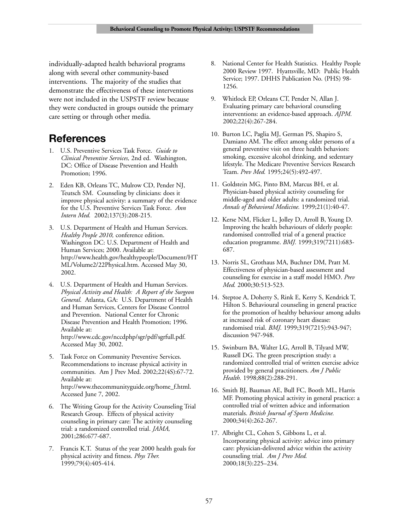individually-adapted health behavioral programs along with several other community-based interventions. The majority of the studies that demonstrate the effectiveness of these interventions were not included in the USPSTF review because they were conducted in groups outside the primary care setting or through other media.

## **References**

- 1. U.S. Preventive Services Task Force. *Guide to Clinical Preventive Services,* 2nd ed. Washington, DC: Office of Disease Prevention and Health Promotion; 1996.
- 2. Eden KB, Orleans TC, Mulrow CD, Pender NJ, Teutsch SM. Counseling by clinicians: does it improve physical activity: a summary of the evidence for the U.S. Preventive Services Task Force. *Ann Intern Med.* 2002;137(3):208-215.
- 3. U.S. Department of Health and Human Services. *Healthy People 2010,* conference edition. Washington DC: U.S. Department of Health and Human Services; 2000. Available at: http://www.health.gov/healthypeople/Document/HT ML/Volume2/22Physical.htm. Accessed May 30, 2002.
- 4. U.S. Department of Health and Human Services. *Physical Activity and Health: A Report of the Surgeon General*. Atlanta, GA: U.S. Department of Health and Human Services, Centers for Disease Control and Prevention. National Center for Chronic Disease Prevention and Health Promotion; 1996. Available at: http://www.cdc.gov/nccdphp/sgr/pdf/sgrfull.pdf. Accessed May 30, 2002.
- 5. Task Force on Community Preventive Services. Recommendations to increase physical activity in communities. Am J Prev Med. 2002;22(4S):67-72. Available at: http://www.thecommunityguide.org/home\_f.html. Accessed June 7, 2002.
- 6. The Writing Group for the Activity Counseling Trial Research Group. Effects of physical activity counseling in primary care: The activity counseling trial: a randomized controlled trial. *JAMA,* 2001;286:677-687.
- 7. Francis K.T. Status of the year 2000 health goals for physical activity and fitness. *Phys Ther.* 1999;79(4):405-414.
- 8. National Center for Health Statistics. Healthy People 2000 Review 1997. Hyattsville, MD: Public Health Service; 1997. DHHS Publication No. (PHS) 98- 1256.
- 9. Whitlock EP, Orleans CT, Pender N, Allan J. Evaluating primary care behavioral counseling interventions: an evidence-based approach. *AJPM.* 2002;22(4):267-284.
- 10. Burton LC, Paglia MJ, German PS, Shapiro S, Damiano AM. The effect among older persons of a general preventive visit on three health behaviors: smoking, excessive alcohol drinking, and sedentary lifestyle. The Medicare Preventive Services Research Team. *Prev Med.* 1995;24(5):492-497.
- 11. Goldstein MG, Pinto BM, Marcus BH, et al. Physician-based physical activity counseling for middle-aged and older adults: a randomized trial. *Annals of Behavioral Medicine.* 1999;21(1):40-47.
- 12. Kerse NM, Flicker L, Jolley D, Arroll B, Young D. Improving the health behaviours of elderly people: randomised controlled trial of a general practice education programme. *BMJ.* 1999;319(7211):683- 687.
- 13. Norris SL, Grothaus MA, Buchner DM, Pratt M. Effectiveness of physician-based assessment and counseling for exercise in a staff model HMO. *Prev Med.* 2000;30:513-523.
- 14. Steptoe A, Doherty S, Rink E, Kerry S, Kendrick T, Hilton S. Behavioural counseling in general practice for the promotion of healthy behaviour among adults at increased risk of coronary heart disease: randomised trial. *BMJ.* 1999;319(7215):943-947; discussion 947-948.
- 15. Swinburn BA, Walter LG, Arroll B, Tilyard MW, Russell DG. The green prescription study: a randomized controlled trial of written exercise advice provided by general practitioners. *Am J Public Health.* 1998;88(2):288-291.
- 16. Smith BJ, Bauman AE, Bull FC, Booth ML, Harris MF. Promoting physical activity in general practice: a controlled trial of written advice and information materials. *British Journal of Sports Medicine.* 2000;34(4):262-267.
- 17. Albright CL, Cohen S, Gibbons L, et al. Incorporating physical activity: advice into primary care: physician-delivered advice within the activity counseling trial. *Am J Prev Med.* 2000;18(3):225–234.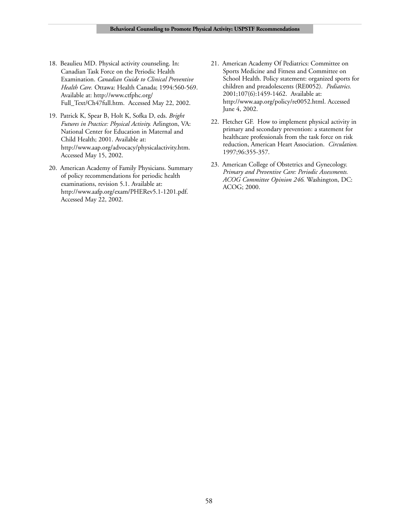- 18. Beaulieu MD. Physical activity counseling. In: Canadian Task Force on the Periodic Health Examination. *Canadian Guide to Clinical Preventive Health Care.* Ottawa: Health Canada; 1994:560-569. Available at: http://www.ctfphc.org/ Full\_Text/Ch47full.htm. Accessed May 22, 2002.
- 19. Patrick K, Spear B, Holt K, Sofka D, eds. *Bright Futures in Practice: Physical Activity.* Arlington, VA: National Center for Education in Maternal and Child Health; 2001. Available at: http://www.aap.org/advocacy/physicalactivity.htm. Accessed May 15, 2002.
- 20. American Academy of Family Physicians. Summary of policy recommendations for periodic health examinations, revision 5.1. Available at: http://www.aafp.org/exam/PHERev5.1-1201.pdf. Accessed May 22, 2002.
- 21. American Academy Of Pediatrics: Committee on Sports Medicine and Fitness and Committee on School Health. Policy statement: organized sports for children and preadolescents (RE0052). *Pediatrics.* 2001;107(6):1459-1462. Available at: http://www.aap.org/policy/re0052.html. Accessed June 4, 2002.
- 22. Fletcher GF. How to implement physical activity in primary and secondary prevention: a statement for healthcare professionals from the task force on risk reduction, American Heart Association. *Circulation.* 1997;96:355-357.
- 23. American College of Obstetrics and Gynecology. *Primary and Preventive Care: Periodic Assessments. ACOG Committee Opinion 246.* Washington, DC: ACOG; 2000.